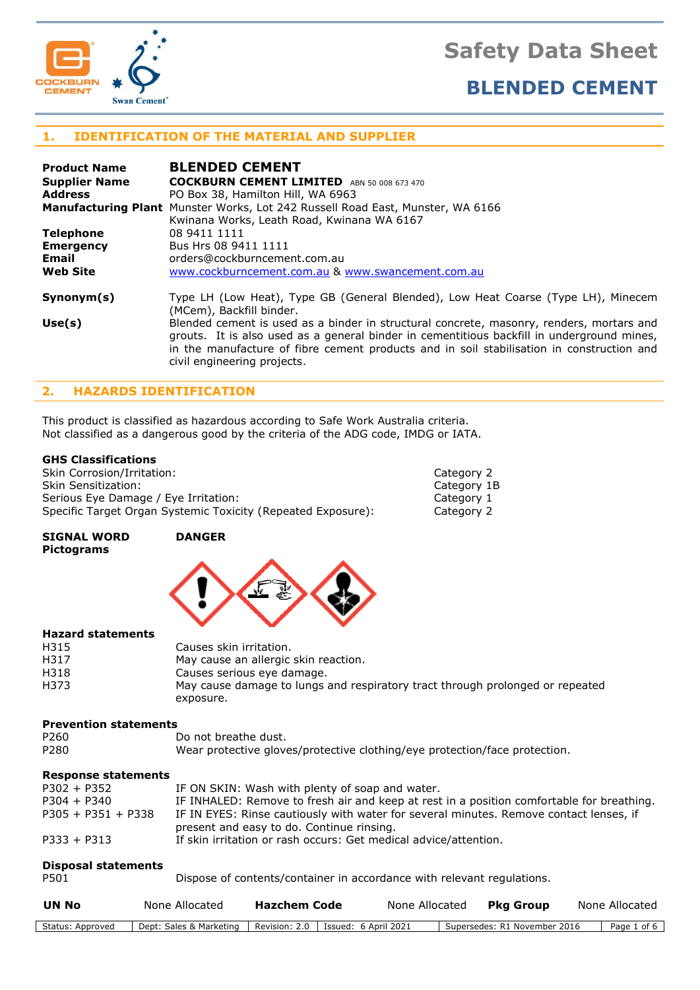



# **1. IDENTIFICATION OF THE MATERIAL AND SUPPLIER**

| <b>Product Name</b>  | <b>BLENDED CEMENT</b>                                                                                                                                                                                                                                                                                              |
|----------------------|--------------------------------------------------------------------------------------------------------------------------------------------------------------------------------------------------------------------------------------------------------------------------------------------------------------------|
| <b>Supplier Name</b> | <b>COCKBURN CEMENT LIMITED</b> ABN 50 008 673 470                                                                                                                                                                                                                                                                  |
| <b>Address</b>       | PO Box 38, Hamilton Hill, WA 6963                                                                                                                                                                                                                                                                                  |
|                      | <b>Manufacturing Plant</b> Munster Works, Lot 242 Russell Road East, Munster, WA 6166                                                                                                                                                                                                                              |
|                      | Kwinana Works, Leath Road, Kwinana WA 6167                                                                                                                                                                                                                                                                         |
| <b>Telephone</b>     | 08 9411 1111                                                                                                                                                                                                                                                                                                       |
| <b>Emergency</b>     | Bus Hrs 08 9411 1111                                                                                                                                                                                                                                                                                               |
| <b>Email</b>         | orders@cockburncement.com.au                                                                                                                                                                                                                                                                                       |
| <b>Web Site</b>      | www.cockburncement.com.au & www.swancement.com.au                                                                                                                                                                                                                                                                  |
| Symonym(s)           | Type LH (Low Heat), Type GB (General Blended), Low Heat Coarse (Type LH), Minecem<br>(MCem), Backfill binder.                                                                                                                                                                                                      |
| Use(s)               | Blended cement is used as a binder in structural concrete, masonry, renders, mortars and<br>grouts. It is also used as a general binder in cementitious backfill in underground mines,<br>in the manufacture of fibre cement products and in soil stabilisation in construction and<br>civil engineering projects. |

# **2. HAZARDS IDENTIFICATION**

This product is classified as hazardous according to Safe Work Australia criteria. Not classified as a dangerous good by the criteria of the ADG code, IMDG or IATA.

# **GHS Classifications**

| Skin Corrosion/Irritation:                                   | Category 2  |
|--------------------------------------------------------------|-------------|
| Skin Sensitization:                                          | Category 1B |
| Serious Eye Damage / Eye Irritation:                         | Category 1  |
| Specific Target Organ Systemic Toxicity (Repeated Exposure): | Category 2  |

**SIGNAL WORD DANGER Pictograms**



#### **Hazard statements**

| H315 | Causes skin irritation.                                                       |
|------|-------------------------------------------------------------------------------|
| H317 | May cause an allergic skin reaction.                                          |
| H318 | Causes serious eye damage.                                                    |
| H373 | May cause damage to lungs and respiratory tract through prolonged or repeated |
|      | exposure.                                                                     |

#### **Prevention statements**

| P <sub>260</sub> | Do not breathe dust.                                                       |
|------------------|----------------------------------------------------------------------------|
| P <sub>280</sub> | Wear protective gloves/protective clothing/eye protection/face protection. |

#### **Response statements**

| $P302 + P352$        | IF ON SKIN: Wash with plenty of soap and water.                                                                                     |
|----------------------|-------------------------------------------------------------------------------------------------------------------------------------|
| $P304 + P340$        | IF INHALED: Remove to fresh air and keep at rest in a position comfortable for breathing.                                           |
| $P305 + P351 + P338$ | IF IN EYES: Rinse cautiously with water for several minutes. Remove contact lenses, if<br>present and easy to do. Continue rinsing. |
| $P333 + P313$        | If skin irritation or rash occurs: Get medical advice/attention.                                                                    |

#### **Disposal statements**

| P501 | Dispose of contents/container in accordance with relevant regulations. |  |
|------|------------------------------------------------------------------------|--|
|      |                                                                        |  |

| UN No            | None Allocated                                                 | Hazchem Code | None Allocated | Pka Group                    | None Allocated |
|------------------|----------------------------------------------------------------|--------------|----------------|------------------------------|----------------|
| Status: Approved | Dept: Sales & Marketing   Revision: 2.0   Issued: 6 April 2021 |              |                | Supersedes: R1 November 2016 | Page 1 of 6    |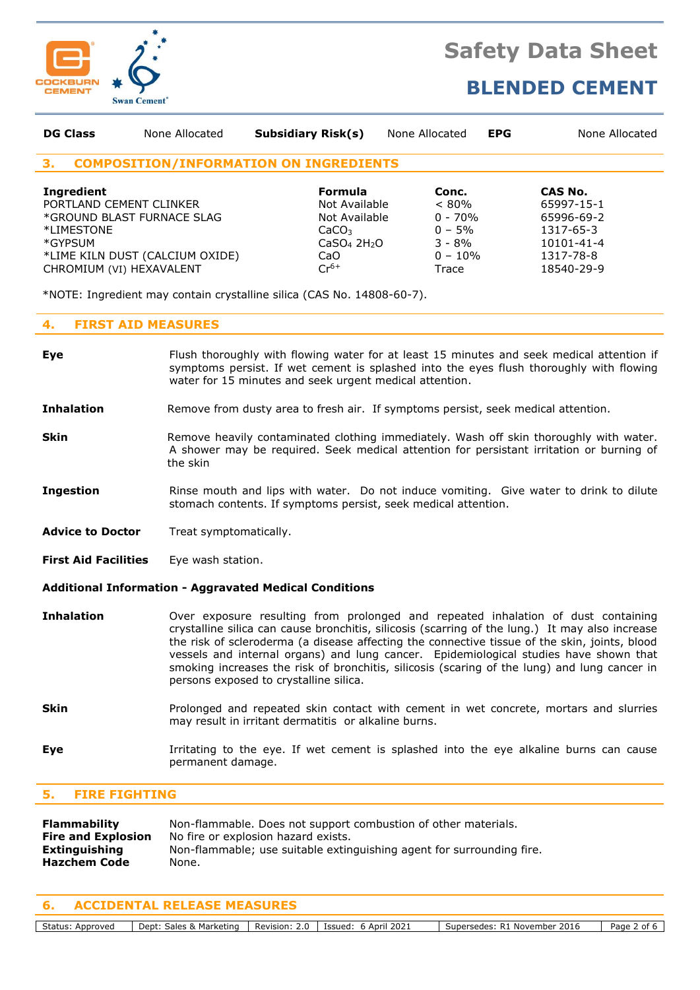

# **BLENDED CEMENT**

| <b>DG Class</b>                                                                                                                 | None Allocated                  | <b>Subsidiary Risk(s)</b>                                                                                                 | None Allocated                                                                 | <b>EPG</b>                                                                                | None Allocated |
|---------------------------------------------------------------------------------------------------------------------------------|---------------------------------|---------------------------------------------------------------------------------------------------------------------------|--------------------------------------------------------------------------------|-------------------------------------------------------------------------------------------|----------------|
| 3.                                                                                                                              |                                 | <b>COMPOSITION/INFORMATION ON INGREDIENTS</b>                                                                             |                                                                                |                                                                                           |                |
| <b>Ingredient</b><br>PORTLAND CEMENT CLINKER<br>*GROUND BLAST FURNACE SLAG<br>*LIMESTONE<br>*GYPSUM<br>CHROMIUM (VI) HEXAVALENT | *LIME KILN DUST (CALCIUM OXIDE) | Formula<br>Not Available<br>Not Available<br>CaCO <sub>3</sub><br>CaSO <sub>4</sub> 2H <sub>2</sub> O<br>CaO<br>$Cr^{6+}$ | Conc.<br>$< 80\%$<br>$0 - 70%$<br>$0 - 5%$<br>$3 - 8\%$<br>$0 - 10\%$<br>Trace | CAS No.<br>65997-15-1<br>65996-69-2<br>1317-65-3<br>10101-41-4<br>1317-78-8<br>18540-29-9 |                |

\*NOTE: Ingredient may contain crystalline silica (CAS No. 14808-60-7).

# **4. FIRST AID MEASURES**

- **Eye** Flush thoroughly with flowing water for at least 15 minutes and seek medical attention if symptoms persist. If wet cement is splashed into the eyes flush thoroughly with flowing water for 15 minutes and seek urgent medical attention. **Inhalation** Remove from dusty area to fresh air. If symptoms persist, seek medical attention. **Skin** Remove heavily contaminated clothing immediately. Wash off skin thoroughly with water. A shower may be required. Seek medical attention for persistant irritation or burning of the skin **Ingestion** Rinse mouth and lips with water. Do not induce vomiting. Give water to drink to dilute stomach contents. If symptoms persist, seek medical attention.
- Advice to Doctor Treat symptomatically.
- **First Aid Facilities** Eye wash station.

# **Additional Information - Aggravated Medical Conditions**

- **Inhalation** Over exposure resulting from prolonged and repeated inhalation of dust containing crystalline silica can cause bronchitis, silicosis (scarring of the lung.) It may also increase the risk of scleroderma (a disease affecting the connective tissue of the skin, joints, blood vessels and internal organs) and lung cancer. Epidemiological studies have shown that smoking increases the risk of bronchitis, silicosis (scaring of the lung) and lung cancer in persons exposed to crystalline silica.
- **Skin** Prolonged and repeated skin contact with cement in wet concrete, mortars and slurries may result in irritant dermatitis or alkaline burns.
- **Eye I**rritating to the eye. If wet cement is splashed into the eye alkaline burns can cause permanent damage.

# **5. FIRE FIGHTING**

| Flammability              | Non-flammable. Does not support combustion of other materials.        |
|---------------------------|-----------------------------------------------------------------------|
| <b>Fire and Explosion</b> | No fire or explosion hazard exists.                                   |
| Extinguishing             | Non-flammable; use suitable extinguishing agent for surrounding fire. |
| <b>Hazchem Code</b>       | None.                                                                 |
|                           |                                                                       |

# **6. ACCIDENTAL RELEASE MEASURES**

Status: Approved Dept: Sales & Marketing | Revision: 2.0 | Issued: 6 April 2021 | Supersedes: R1 November 2016 | Page 2 of 6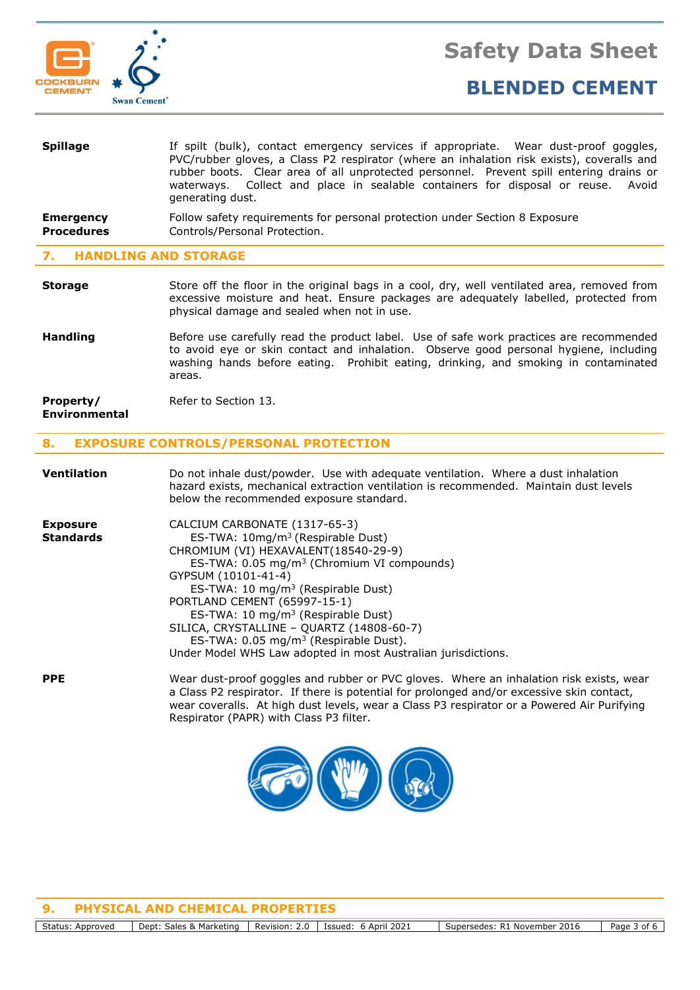

| <b>Spillage</b>                       | If spilt (bulk), contact emergency services if appropriate. Wear dust-proof goggles,<br>PVC/rubber gloves, a Class P2 respirator (where an inhalation risk exists), coveralls and<br>rubber boots. Clear area of all unprotected personnel. Prevent spill entering drains or<br>waterways. Collect and place in sealable containers for disposal or reuse. Avoid<br>generating dust. |
|---------------------------------------|--------------------------------------------------------------------------------------------------------------------------------------------------------------------------------------------------------------------------------------------------------------------------------------------------------------------------------------------------------------------------------------|
| <b>Emergency</b><br><b>Procedures</b> | Follow safety requirements for personal protection under Section 8 Exposure<br>Controls/Personal Protection.                                                                                                                                                                                                                                                                         |
| <b>UANDI TNC AND STODACE</b>          |                                                                                                                                                                                                                                                                                                                                                                                      |

### **7. HANDLING AND STORAGE**

- **Storage** Store off the floor in the original bags in a cool, dry, well ventilated area, removed from excessive moisture and heat. Ensure packages are adequately labelled, protected from physical damage and sealed when not in use.
- **Handling** Before use carefully read the product label. Use of safe work practices are recommended to avoid eye or skin contact and inhalation. Observe good personal hygiene, including washing hands before eating. Prohibit eating, drinking, and smoking in contaminated areas.

| Property/            | Refer to Section 13. |
|----------------------|----------------------|
| <b>Environmental</b> |                      |

# **8. EXPOSURE CONTROLS/PERSONAL PROTECTION**

| <b>Ventilation</b>                  | Do not inhale dust/powder. Use with adequate ventilation. Where a dust inhalation<br>hazard exists, mechanical extraction ventilation is recommended. Maintain dust levels<br>below the recommended exposure standard.                                                                                                                                                                                                                                                                                         |
|-------------------------------------|----------------------------------------------------------------------------------------------------------------------------------------------------------------------------------------------------------------------------------------------------------------------------------------------------------------------------------------------------------------------------------------------------------------------------------------------------------------------------------------------------------------|
| <b>Exposure</b><br><b>Standards</b> | CALCIUM CARBONATE (1317-65-3)<br>ES-TWA: 10mg/m <sup>3</sup> (Respirable Dust)<br>CHROMIUM (VI) HEXAVALENT (18540-29-9)<br>ES-TWA: 0.05 mg/m <sup>3</sup> (Chromium VI compounds)<br>GYPSUM (10101-41-4)<br>ES-TWA: 10 mg/m <sup>3</sup> (Respirable Dust)<br>PORTLAND CEMENT (65997-15-1)<br>ES-TWA: 10 mg/m <sup>3</sup> (Respirable Dust)<br>SILICA, CRYSTALLINE - QUARTZ (14808-60-7)<br>ES-TWA: $0.05 \text{ mg/m}^3$ (Respirable Dust).<br>Under Model WHS Law adopted in most Australian jurisdictions. |
| <b>PPE</b>                          | Wear dust-proof goggles and rubber or PVC gloves. Where an inhalation risk exists, wear<br>a Class P2 respirator. If there is potential for prolonged and/or excessive skin contact,<br>wear coveralls. At high dust levels, wear a Class P3 respirator or a Powered Air Purifying<br>Respirator (PAPR) with Class P3 filter.                                                                                                                                                                                  |



**9. PHYSICAL AND CHEMICAL PROPERTIES**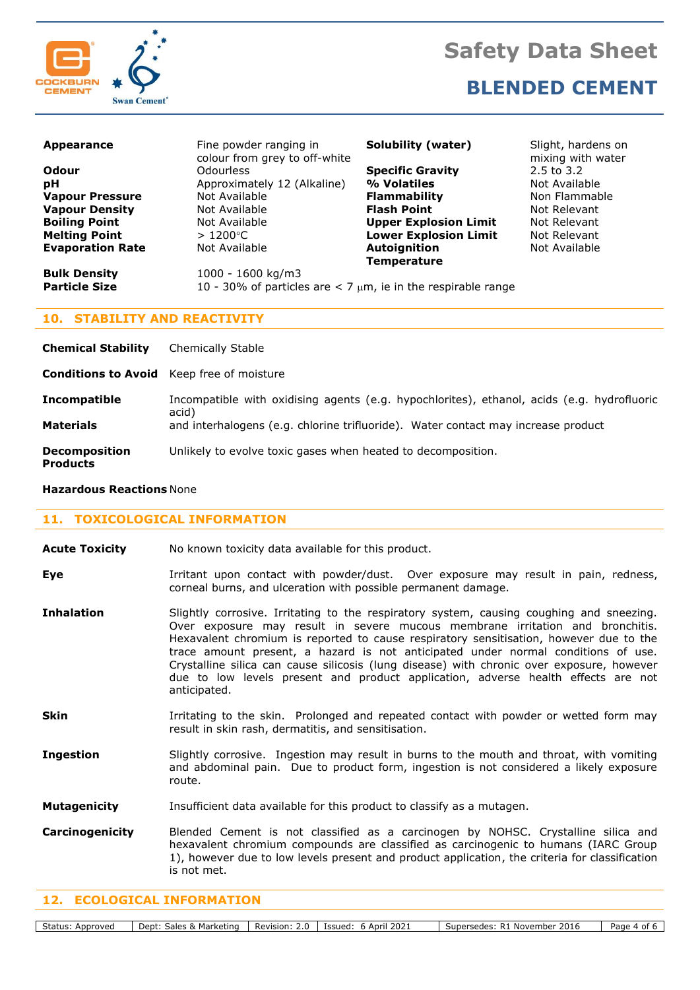



**BLENDED CEMENT**

| <b>Appearance</b>       | Fine powder ranging in<br>colour from grey to off-white             | Solubility (water)           | Slight, hardens on<br>mixing with water |
|-------------------------|---------------------------------------------------------------------|------------------------------|-----------------------------------------|
| Odour                   | <b>Odourless</b>                                                    | <b>Specific Gravity</b>      | 2.5 to 3.2                              |
| pH                      | Approximately 12 (Alkaline)                                         | % Volatiles                  | Not Available                           |
| <b>Vapour Pressure</b>  | Not Available                                                       | <b>Flammability</b>          | Non Flammable                           |
| <b>Vapour Density</b>   | Not Available                                                       | <b>Flash Point</b>           | Not Relevant                            |
| <b>Boiling Point</b>    | Not Available                                                       | <b>Upper Explosion Limit</b> | Not Relevant                            |
| <b>Melting Point</b>    | $>1200^{\circ}$ C                                                   | <b>Lower Explosion Limit</b> | Not Relevant                            |
| <b>Evaporation Rate</b> | Not Available                                                       | Autoignition                 | Not Available                           |
|                         |                                                                     | <b>Temperature</b>           |                                         |
| <b>Bulk Density</b>     | 1000 - 1600 kg/m3                                                   |                              |                                         |
| <b>Particle Size</b>    | 10 - 30% of particles are $<$ 7 $\mu$ m, ie in the respirable range |                              |                                         |
|                         |                                                                     |                              |                                         |

# **10. STABILITY AND REACTIVITY**

| <b>Chemical Stability</b>                        | Chemically Stable                                                                                                                                                                        |
|--------------------------------------------------|------------------------------------------------------------------------------------------------------------------------------------------------------------------------------------------|
| <b>Conditions to Avoid</b> Keep free of moisture |                                                                                                                                                                                          |
| <b>Incompatible</b><br><b>Materials</b>          | Incompatible with oxidising agents (e.g. hypochlorites), ethanol, acids (e.g. hydrofluoric<br>acid)<br>and interhalogens (e.g. chlorine trifluoride). Water contact may increase product |
|                                                  |                                                                                                                                                                                          |
| <b>Decomposition</b><br><b>Products</b>          | Unlikely to evolve toxic gases when heated to decomposition.                                                                                                                             |

#### **Hazardous Reactions** None

#### **11. TOXICOLOGICAL INFORMATION**

| <b>Acute Toxicity</b> |  | No known toxicity data available for this product. |  |
|-----------------------|--|----------------------------------------------------|--|
|-----------------------|--|----------------------------------------------------|--|

- Eye **Eye** Irritant upon contact with powder/dust. Over exposure may result in pain, redness, corneal burns, and ulceration with possible permanent damage.
- **Inhalation** Slightly corrosive. Irritating to the respiratory system, causing coughing and sneezing. Over exposure may result in severe mucous membrane irritation and bronchitis. Hexavalent chromium is reported to cause respiratory sensitisation, however due to the trace amount present, a hazard is not anticipated under normal conditions of use. Crystalline silica can cause silicosis (lung disease) with chronic over exposure, however due to low levels present and product application, adverse health effects are not anticipated.
- **Skin** Irritating to the skin. Prolonged and repeated contact with powder or wetted form may result in skin rash, dermatitis, and sensitisation.
- **Ingestion** Slightly corrosive. Ingestion may result in burns to the mouth and throat, with vomiting and abdominal pain. Due to product form, ingestion is not considered a likely exposure route.
- **Mutagenicity** Insufficient data available for this product to classify as a mutagen.
- **Carcinogenicity** Blended Cement is not classified as a carcinogen by NOHSC. Crystalline silica and hexavalent chromium compounds are classified as carcinogenic to humans (IARC Group 1), however due to low levels present and product application, the criteria for classification is not met.

### **12. ECOLOGICAL INFORMATION**

Status: Approved | Dept: Sales & Marketing | Revision: 2.0 | Issued: 6 April 2021 | Supersedes: R1 November 2016 | Page 4 of 6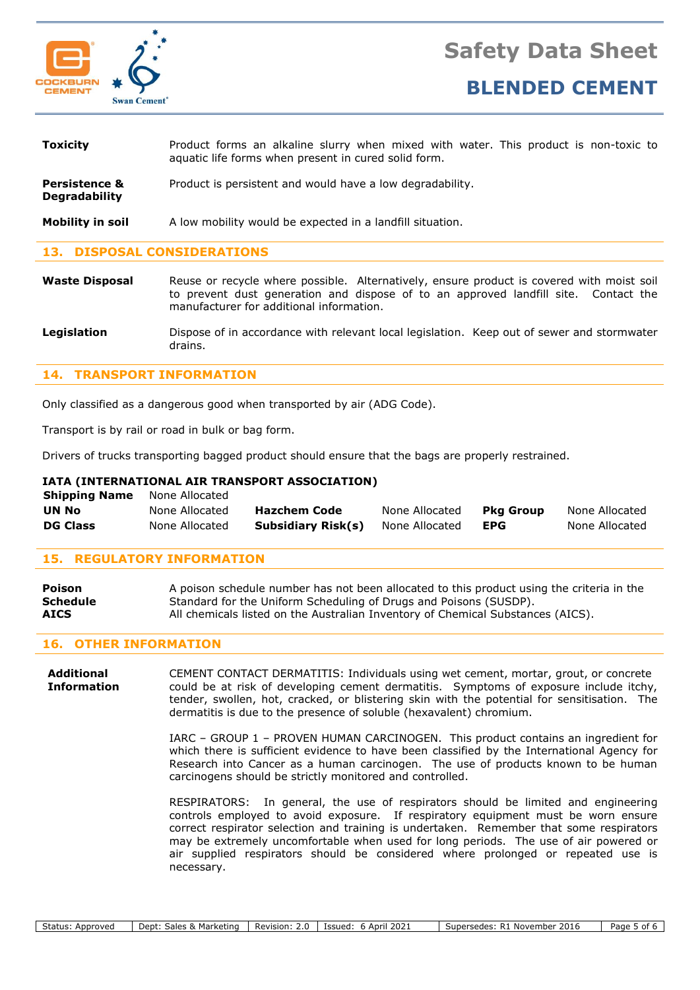



| <b>Toxicity</b>                                  | Product forms an alkaline slurry when mixed with water. This product is non-toxic to<br>aquatic life forms when present in cured solid form. |
|--------------------------------------------------|----------------------------------------------------------------------------------------------------------------------------------------------|
| <b>Persistence &amp;</b><br><b>Degradability</b> | Product is persistent and would have a low degradability.                                                                                    |
| Mobility in soil                                 | A low mobility would be expected in a landfill situation.                                                                                    |

# **13. DISPOSAL CONSIDERATIONS**

**Waste Disposal** Reuse or recycle where possible. Alternatively, ensure product is covered with moist soil to prevent dust generation and dispose of to an approved landfill site. Contact the manufacturer for additional information.

**Legislation** Dispose of in accordance with relevant local legislation. Keep out of sewer and stormwater drains.

# **14. TRANSPORT INFORMATION**

Only classified as a dangerous good when transported by air (ADG Code).

Transport is by rail or road in bulk or bag form.

Drivers of trucks transporting bagged product should ensure that the bags are properly restrained.

# **IATA (INTERNATIONAL AIR TRANSPORT ASSOCIATION)**

| <b>Shipping Name</b> | None Allocated |                           |                |                  |                |
|----------------------|----------------|---------------------------|----------------|------------------|----------------|
| UN No                | None Allocated | <b>Hazchem Code</b>       | None Allocated | <b>Pka Group</b> | None Allocated |
| <b>DG Class</b>      | None Allocated | <b>Subsidiary Risk(s)</b> | None Allocated | EPG              | None Allocated |

# **15. REGULATORY INFORMATION**

| <b>Poison</b>   | A poison schedule number has not been allocated to this product using the criteria in the |
|-----------------|-------------------------------------------------------------------------------------------|
| <b>Schedule</b> | Standard for the Uniform Scheduling of Drugs and Poisons (SUSDP).                         |
| <b>AICS</b>     | All chemicals listed on the Australian Inventory of Chemical Substances (AICS).           |

# **16. OTHER INFORMATION**

**Additional** CEMENT CONTACT DERMATITIS: Individuals using wet cement, mortar, grout, or concrete **Information** could be at risk of developing cement dermatitis. Symptoms of exposure include itchy, tender, swollen, hot, cracked, or blistering skin with the potential for sensitisation. The dermatitis is due to the presence of soluble (hexavalent) chromium.

> IARC – GROUP 1 – PROVEN HUMAN CARCINOGEN. This product contains an ingredient for which there is sufficient evidence to have been classified by the International Agency for Research into Cancer as a human carcinogen. The use of products known to be human carcinogens should be strictly monitored and controlled.

> RESPIRATORS: In general, the use of respirators should be limited and engineering controls employed to avoid exposure. If respiratory equipment must be worn ensure correct respirator selection and training is undertaken. Remember that some respirators may be extremely uncomfortable when used for long periods. The use of air powered or air supplied respirators should be considered where prolonged or repeated use is necessary.